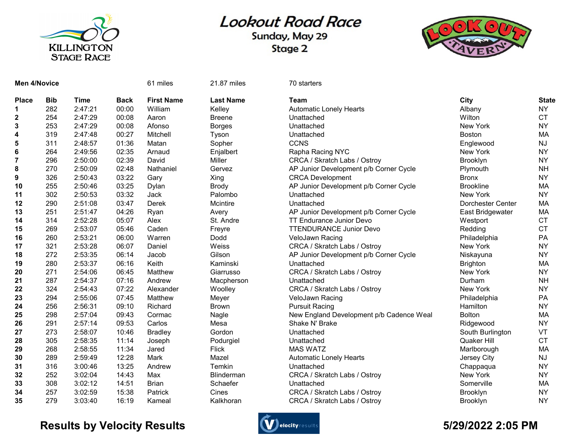

## **Lookout Road Race**

Sunday, May 29 Stage 2



| <b>Place</b>            | <b>Bib</b> | <b>Time</b> | <b>Back</b> | <b>First Name</b> |
|-------------------------|------------|-------------|-------------|-------------------|
| 1                       | 282        | 2:47:21     | 00:00       | William           |
| $\overline{\mathbf{c}}$ | 254        | 2:47:29     | 00:08       | Aaron             |
| 3                       | 253        | 2:47:29     | 00:08       | Afonso            |
| 4                       | 319        | 2:47:48     | 00:27       | Mitchell          |
| 5                       | 311        | 2:48:57     | 01:36       | Matan             |
| 6                       | 264        | 2:49:56     | 02:35       | Arnaud            |
| 7                       | 296        | 2:50:00     | 02:39       | David             |
| 8                       | 270        | 2:50:09     | 02:48       | Nathaniel         |
| 9                       | 326        | 2:50:43     | 03:22       | Gary              |
| 10                      | 255        | 2:50:46     | 03:25       | Dylan             |
| 11                      | 302        | 2:50:53     | 03:32       | Jack              |
| 12                      | 290        | 2:51:08     | 03:47       | Derek             |
| 13                      | 251        | 2:51:47     | 04:26       | Ryan              |
| 14                      | 314        | 2:52:28     | 05:07       | Alex              |
| 15                      | 269        | 2:53:07     | 05:46       | Caden             |
| 16                      | 260        | 2:53:21     | 06:00       | Warren            |
| 17                      | 321        | 2:53:28     | 06:07       | Daniel            |
| 18                      | 272        | 2:53:35     | 06:14       | Jacob             |
| 19                      | 280        | 2:53:37     | 06:16       | Keith             |
| 20                      | 271        | 2:54:06     | 06:45       | Matthew           |
| 21                      | 287        | 2:54:37     | 07:16       | Andrew            |
| 22                      | 324        | 2:54:43     | 07:22       | Alexander         |
| 23                      | 294        | 2:55:06     | 07:45       | Matthew           |
| 24                      | 256        | 2:56:31     | 09:10       | Richard           |
| 25                      | 298        | 2:57:04     | 09:43       | Cormac            |
| 26                      | 291        | 2:57:14     | 09:53       | Carlos            |
| 27                      | 273        | 2:58:07     | 10:46       | <b>Bradley</b>    |
| 28                      | 305        | 2:58:35     | 11:14       | Joseph            |
| 29                      | 268        | 2:58:55     | 11:34       | Jared             |
| 30                      | 289        | 2:59:49     | 12:28       | Mark              |
| 31                      | 316        | 3:00:46     | 13:25       | Andrew            |
| 32                      | 252        | 3:02:04     | 14:43       | Max               |
| 33                      | 308        | 3:02:12     | 14:51       | <b>Brian</b>      |
| 34                      | 257        | 3:02:59     | 15:38       | Patrick           |
| 35                      | 279        | 3:03:40     | 16:19       | Kameal            |

Men 4/Novice **61 miles** 61 miles 21.87 miles 70 starters

| Place | <b>Bib</b> | <b>Time</b> | <b>Back</b> | <b>First Name</b> | <b>Last Name</b>  | Team                                     | City              | <b>State</b> |
|-------|------------|-------------|-------------|-------------------|-------------------|------------------------------------------|-------------------|--------------|
|       | 282        | 2:47:21     | 00:00       | William           | Kelley            | <b>Automatic Lonely Hearts</b>           | Albany            | <b>NY</b>    |
| 2     | 254        | 2:47:29     | 00:08       | Aaron             | <b>Breene</b>     | Unattached                               | Wilton            | <b>CT</b>    |
| 3     | 253        | 2:47:29     | 00:08       | Afonso            | <b>Borges</b>     | Unattached                               | New York          | <b>NY</b>    |
| 4     | 319        | 2:47:48     | 00:27       | Mitchell          | Tyson             | Unattached                               | <b>Boston</b>     | MA           |
| 5     | 311        | 2:48:57     | 01:36       | Matan             | Sopher            | <b>CCNS</b>                              | Englewood         | <b>NJ</b>    |
| 6     | 264        | 2:49:56     | 02:35       | Arnaud            | Enjalbert         | Rapha Racing NYC                         | New York          | <b>NY</b>    |
|       | 296        | 2:50:00     | 02:39       | David             | Miller            | CRCA / Skratch Labs / Ostroy             | Brooklyn          | <b>NY</b>    |
| 8     | 270        | 2:50:09     | 02:48       | Nathaniel         | Gervez            | AP Junior Development p/b Corner Cycle   | Plymouth          | <b>NH</b>    |
| 9     | 326        | 2:50:43     | 03:22       | Gary              | Xing              | <b>CRCA Development</b>                  | <b>Bronx</b>      | <b>NY</b>    |
| 10    | 255        | 2:50:46     | 03:25       | Dylan             | <b>Brody</b>      | AP Junior Development p/b Corner Cycle   | <b>Brookline</b>  | MA           |
| 11    | 302        | 2:50:53     | 03:32       | Jack              | Palombo           | Unattached                               | New York          | <b>NY</b>    |
| 12    | 290        | 2:51:08     | 03:47       | <b>Derek</b>      | Mcintire          | Unattached                               | Dorchester Center | MA           |
| 13    | 251        | 2:51:47     | 04:26       | Ryan              | Avery             | AP Junior Development p/b Corner Cycle   | East Bridgewater  | MA           |
| 14    | 314        | 2:52:28     | 05:07       | Alex              | St. Andre         | TT Endurance Junior Devo                 | Westport          | <b>CT</b>    |
| 15    | 269        | 2:53:07     | 05:46       | Caden             | Freyre            | <b>TTENDURANCE Junior Devo</b>           | Redding           | <b>CT</b>    |
| 16    | 260        | 2:53:21     | 06:00       | Warren            | Dodd              | VeloJawn Racing                          | Philadelphia      | PA           |
| 17    | 321        | 2:53:28     | 06:07       | Daniel            | Weiss             | CRCA / Skratch Labs / Ostroy             | New York          | <b>NY</b>    |
| 18    | 272        | 2:53:35     | 06:14       | Jacob             | Gilson            | AP Junior Development p/b Corner Cycle   | Niskayuna         | <b>NY</b>    |
| 19    | 280        | 2:53:37     | 06:16       | Keith             | Kaminski          | Unattached                               | <b>Brighton</b>   | MA           |
| 20    | 271        | 2:54:06     | 06:45       | Matthew           | Giarrusso         | CRCA / Skratch Labs / Ostroy             | New York          | <b>NY</b>    |
| 21    | 287        | 2:54:37     | 07:16       | Andrew            | Macpherson        | Unattached                               | Durham            | <b>NH</b>    |
| 22    | 324        | 2:54:43     | 07:22       | Alexander         | Woolley           | CRCA / Skratch Labs / Ostroy             | New York          | <b>NY</b>    |
| 23    | 294        | 2:55:06     | 07:45       | Matthew           | Meyer             | VeloJawn Racing                          | Philadelphia      | PA           |
| 24    | 256        | 2:56:31     | 09:10       | Richard           | <b>Brown</b>      | <b>Pursuit Racing</b>                    | Hamilton          | <b>NY</b>    |
| 25    | 298        | 2:57:04     | 09:43       | Cormac            | Nagle             | New England Development p/b Cadence Weal | <b>Bolton</b>     | MA           |
| 26    | 291        | 2:57:14     | 09:53       | Carlos            | Mesa              | Shake N' Brake                           | Ridgewood         | <b>NY</b>    |
| 27    | 273        | 2:58:07     | 10:46       | <b>Bradley</b>    | Gordon            | Unattached                               | South Burlington  | VT           |
| 28    | 305        | 2:58:35     | 11:14       | Joseph            | Podurgiel         | Unattached                               | Quaker Hill       | <b>CT</b>    |
| 29    | 268        | 2:58:55     | 11:34       | Jared             | <b>Flick</b>      | <b>MAS WATZ</b>                          | Marlborough       | MA           |
| 30    | 289        | 2:59:49     | 12:28       | Mark              | Mazel             | <b>Automatic Lonely Hearts</b>           | Jersey City       | <b>NJ</b>    |
| 31    | 316        | 3:00:46     | 13:25       | Andrew            | Temkin            | Unattached                               | Chappaqua         | <b>NY</b>    |
| 32    | 252        | 3:02:04     | 14:43       | Max               | <b>Blinderman</b> | CRCA / Skratch Labs / Ostroy             | New York          | <b>NY</b>    |
| 33    | 308        | 3:02:12     | 14:51       | <b>Brian</b>      | Schaefer          | Unattached                               | Somerville        | MA           |
| 34    | 257        | 3:02:59     | 15:38       | Patrick           | Cines             | CRCA / Skratch Labs / Ostroy             | Brooklyn          | <b>NY</b>    |
| 35    | 279        | 3:03:40     | 16:19       | Kameal            | Kalkhoran         | CRCA / Skratch Labs / Ostroy             | <b>Brooklyn</b>   | <b>NY</b>    |

## Results by Velocity Results **Controllers** and the section of the section of the State of the State of the State of the State of the State of the State of the State of the State of the State of the State of the State of the